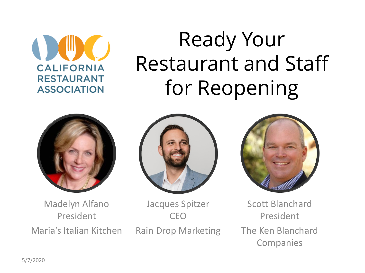**CALIFORNIA RESTAURANT ASSOCIATION** 

# Ready Your Restaurant and Staff for Reopening





Madelyn Alfano President Maria's Italian Kitchen

Jacques Spitzer CEO Rain Drop Marketing

Scott Blanchard President The Ken Blanchard **Companies**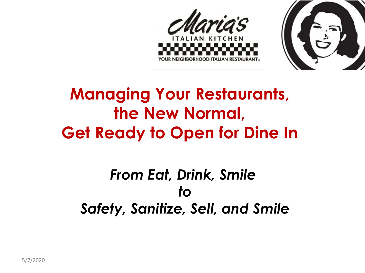



# **Managing Your Restaurants, the New Normal, Get Ready to Open for Dine In**

### *From Eat, Drink, Smile to Safety, Sanitize, Sell, and Smile*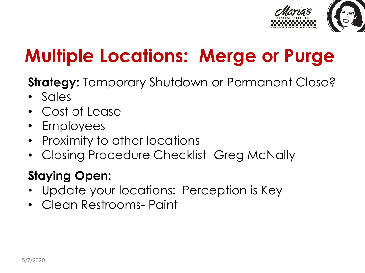

# **Multiple Locations: Merge or Purge**

**Strategy:** Temporary Shutdown or Permanent Close?

- Sales
- Cost of Lease
- Employees
- Proximity to other locations
- Closing Procedure Checklist- Greg McNally

### **Staying Open:**

- Update your locations: Perception is Key
- Clean Restrooms- Paint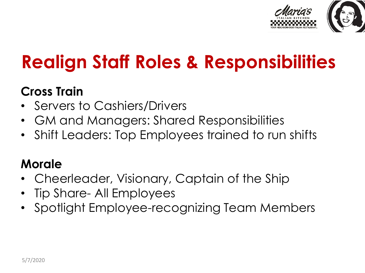

# **Realign Staff Roles & Responsibilities**

### **Cross Train**

- Servers to Cashiers/Drivers
- GM and Managers: Shared Responsibilities
- Shift Leaders: Top Employees trained to run shifts

### **Morale**

- Cheerleader, Visionary, Captain of the Ship
- Tip Share- All Employees
- Spotlight Employee-recognizing Team Members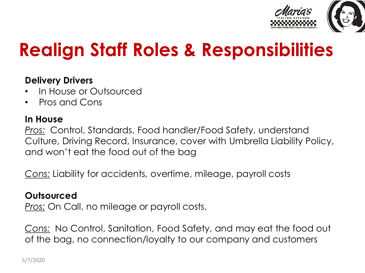

# **Realign Staff Roles & Responsibilities**

#### **Delivery Drivers**

- In House or Outsourced
- Pros and Cons

#### **In House**

*Pros:* Control, Standards, Food handler/Food Safety, understand Culture, Driving Record, Insurance, cover with Umbrella Liability Policy, and won't eat the food out of the bag

*Cons:* Liability for accidents, overtime, mileage, payroll costs

#### **Outsourced**

*Pros:* On Call, no mileage or payroll costs,

*Cons:* No Control, Sanitation, Food Safety, and may eat the food out of the bag, no connection/loyalty to our company and customers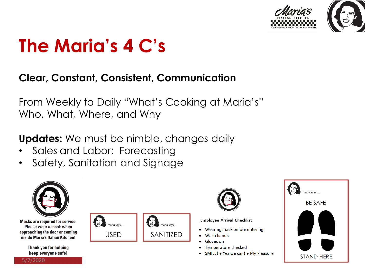



# **The Maria's 4 C's**

### **Clear, Constant, Consistent, Communication**

From Weekly to Daily "What's Cooking at Maria's" Who, What, Where, and Why

**Updates:** We must be nimble, changes daily

- Sales and Labor: Forecasting
- Safety, Sanitation and Signage



**Masks are required for service.** Please wear a mask when approaching the door or coming inside Maria's Italian Kitchen!

**Thank you for helping** keep everyone safe!







#### **Employee Arrival Checklist**

- Wearing mask before entering
- Wash hands
- Gloves on
- Temperature checked
- SMILE! Yes we can! My Pleasure

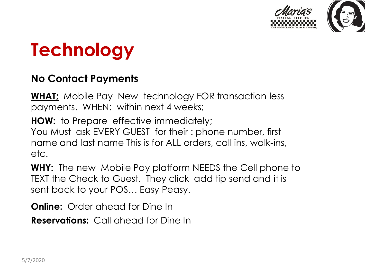

# **Technology**

#### **No Contact Payments**

**WHAT;** Mobile Pay New technology FOR transaction less payments. WHEN: within next 4 weeks;

**HOW:** to Prepare effective immediately; You Must ask EVERY GUEST for their : phone number, first name and last name This is for ALL orders, call ins, walk-ins, etc.

**WHY:** The new Mobile Pay platform NEEDS the Cell phone to TEXT the Check to Guest. They click add tip send and it is sent back to your POS… Easy Peasy.

**Online:** Order ahead for Dine In

**Reservations:** Call ahead for Dine In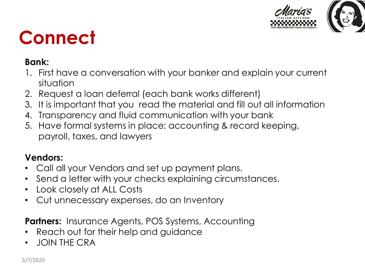

# **Connect**

#### **Bank:**

- 1. First have a conversation with your banker and explain your current situation
- 2. Request a loan deferral (each bank works different)
- 3. It is important that you read the material and fill out all information
- 4. Transparency and fluid communication with your bank
- 5. Have formal systems in place: accounting & record keeping, payroll, taxes, and lawyers

#### **Vendors:**

- Call all your Vendors and set up payment plans.
- Send a letter with your checks explaining circumstances.
- Look closely at ALL Costs
- Cut unnecessary expenses, do an Inventory

**Partners:** Insurance Agents, POS Systems, Accounting

- Reach out for their help and guidance
- JOIN THE CRA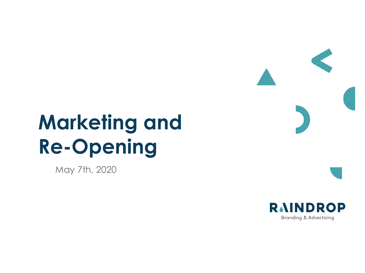

May 7th, 2020

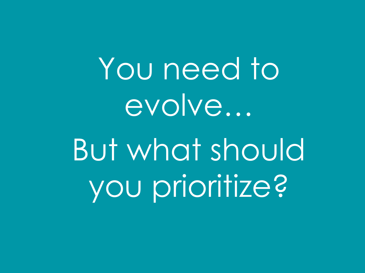You need to evolve… But what should you prioritize?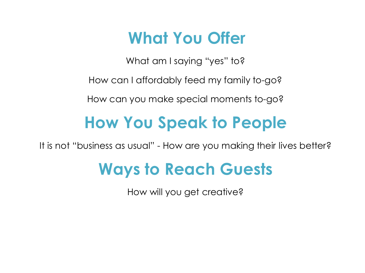## **What You Offer**

What am I saying "yes" to?

How can I affordably feed my family to-go?

How can you make special moments to-go?

## **How You Speak to People**

It is not "business as usual" - How are you making their lives better?

## **Ways to Reach Guests**

How will you get creative?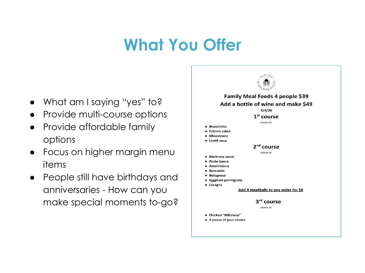## **What You Offer**

- What am I saying "yes" to?
- Provide multi-course options
- Provide affordable family options
- Focus on higher margin menu items
- People still have birthdays and anniversaries - How can you make special moments to-go?



GARAGE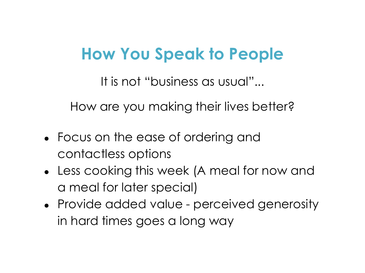## **How You Speak to People**

It is not "business as usual"...

How are you making their lives better?

- Focus on the ease of ordering and contactless options
- Less cooking this week (A meal for now and a meal for later special)
- Provide added value perceived generosity in hard times goes a long way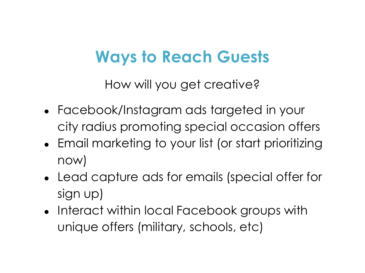## **Ways to Reach Guests**

How will you get creative?

- Facebook/Instagram ads targeted in your city radius promoting special occasion offers
- Email marketing to your list (or start prioritizing now)
- Lead capture ads for emails (special offer for sign up)
- Interact within local Facebook groups with unique offers (military, schools, etc)